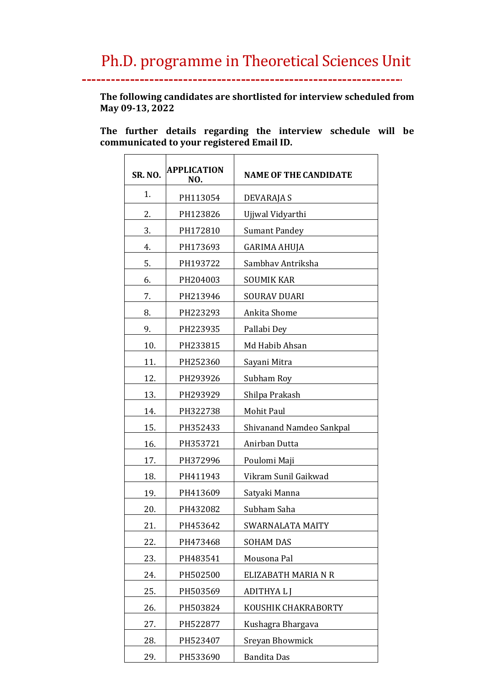\_\_.

**The following candidates are shortlisted for interview scheduled from May 09-13, 2022**

**The further details regarding the interview schedule will be communicated to your registered Email ID.** 

| <b>SR. NO.</b> | <b>APPLICATION</b><br>NO. | <b>NAME OF THE CANDIDATE</b> |
|----------------|---------------------------|------------------------------|
| 1.             | PH113054                  | DEVARAJA S                   |
| 2.             | PH123826                  | Ujjwal Vidyarthi             |
| 3.             | PH172810                  | <b>Sumant Pandey</b>         |
| 4.             | PH173693                  | <b>GARIMA AHUJA</b>          |
| 5.             | PH193722                  | Sambhay Antriksha            |
| 6.             | PH204003                  | <b>SOUMIK KAR</b>            |
| 7.             | PH213946                  | SOURAV DUARI                 |
| 8.             | PH223293                  | Ankita Shome                 |
| 9.             | PH223935                  | Pallabi Dey                  |
| 10.            | PH233815                  | Md Habib Ahsan               |
| 11.            | PH252360                  | Sayani Mitra                 |
| 12.            | PH293926                  | Subham Roy                   |
| 13.            | PH293929                  | Shilpa Prakash               |
| 14.            | PH322738                  | Mohit Paul                   |
| 15.            | PH352433                  | Shivanand Namdeo Sankpal     |
| 16.            | PH353721                  | Anirban Dutta                |
| 17.            | PH372996                  | Poulomi Maji                 |
| 18.            | PH411943                  | Vikram Sunil Gaikwad         |
| 19.            | PH413609                  | Satyaki Manna                |
| 20.            | PH432082                  | Subham Saha                  |
| 21.            | PH453642                  | SWARNALATA MAITY             |
| 22.            | PH473468                  | <b>SOHAM DAS</b>             |
| 23.            | PH483541                  | Mousona Pal                  |
| 24.            | PH502500                  | ELIZABATH MARIA N R          |
| 25.            | PH503569                  | ADITHYA L J                  |
| 26.            | PH503824                  | KOUSHIK CHAKRABORTY          |
| 27.            | PH522877                  | Kushagra Bhargava            |
| 28.            | PH523407                  | Sreyan Bhowmick              |
| 29.            | PH533690                  | <b>Bandita Das</b>           |